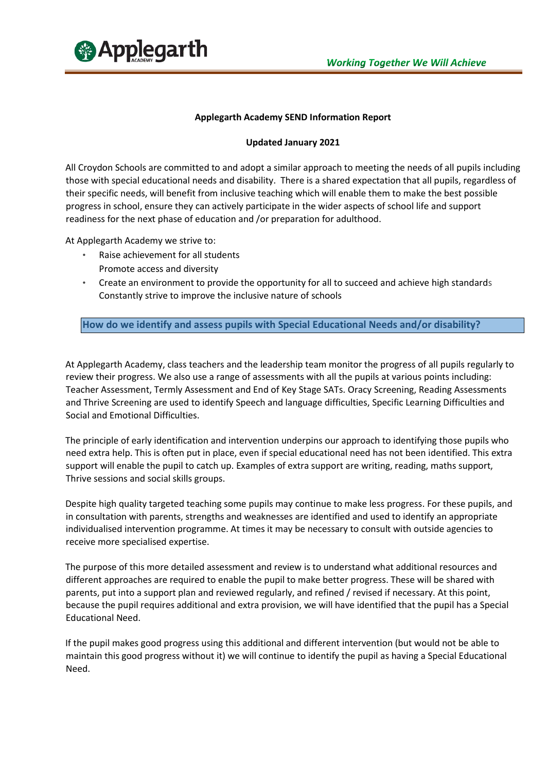

## **Applegarth Academy SEND Information Report**

### **Updated January 2021**

All Croydon Schools are committed to and adopt a similar approach to meeting the needs of all pupils including those with special educational needs and disability. There is a shared expectation that all pupils, regardless of their specific needs, will benefit from inclusive teaching which will enable them to make the best possible progress in school, ensure they can actively participate in the wider aspects of school life and support readiness for the next phase of education and /or preparation for adulthood.

At Applegarth Academy we strive to:

- Raise achievement for all students Promote access and diversity
- Create an environment to provide the opportunity for all to succeed and achieve high standards Constantly strive to improve the inclusive nature of schools

**How do we identify and assess pupils with Special Educational Needs and/or disability?**

At Applegarth Academy, class teachers and the leadership team monitor the progress of all pupils regularly to review their progress. We also use a range of assessments with all the pupils at various points including: Teacher Assessment, Termly Assessment and End of Key Stage SATs. Oracy Screening, Reading Assessments and Thrive Screening are used to identify Speech and language difficulties, Specific Learning Difficulties and Social and Emotional Difficulties.

The principle of early identification and intervention underpins our approach to identifying those pupils who need extra help. This is often put in place, even if special educational need has not been identified. This extra support will enable the pupil to catch up. Examples of extra support are writing, reading, maths support, Thrive sessions and social skills groups.

Despite high quality targeted teaching some pupils may continue to make less progress. For these pupils, and in consultation with parents, strengths and weaknesses are identified and used to identify an appropriate individualised intervention programme. At times it may be necessary to consult with outside agencies to receive more specialised expertise.

The purpose of this more detailed assessment and review is to understand what additional resources and different approaches are required to enable the pupil to make better progress. These will be shared with parents, put into a support plan and reviewed regularly, and refined / revised if necessary. At this point, because the pupil requires additional and extra provision, we will have identified that the pupil has a Special Educational Need.

If the pupil makes good progress using this additional and different intervention (but would not be able to maintain this good progress without it) we will continue to identify the pupil as having a Special Educational Need.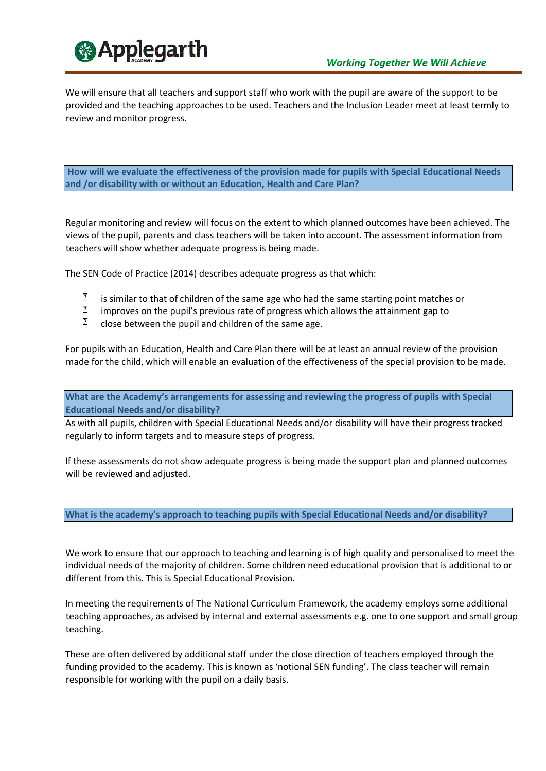

We will ensure that all teachers and support staff who work with the pupil are aware of the support to be provided and the teaching approaches to be used. Teachers and the Inclusion Leader meet at least termly to review and monitor progress.

**How will we evaluate the effectiveness of the provision made for pupils with Special Educational Needs and /or disability with or without an Education, Health and Care Plan?** 

Regular monitoring and review will focus on the extent to which planned outcomes have been achieved. The views of the pupil, parents and class teachers will be taken into account. The assessment information from teachers will show whether adequate progress is being made.

The SEN Code of Practice (2014) describes adequate progress as that which:

- $\overline{2}$ is similar to that of children of the same age who had the same starting point matches or
- $\overline{2}$ improves on the pupil's previous rate of progress which allows the attainment gap to
- $\mathbf{D}$ close between the pupil and children of the same age.

For pupils with an Education, Health and Care Plan there will be at least an annual review of the provision made for the child, which will enable an evaluation of the effectiveness of the special provision to be made.

**What are the Academy's arrangements for assessing and reviewing the progress of pupils with Special Educational Needs and/or disability?**

As with all pupils, children with Special Educational Needs and/or disability will have their progress tracked regularly to inform targets and to measure steps of progress.

If these assessments do not show adequate progress is being made the support plan and planned outcomes will be reviewed and adjusted.

#### **What is the academy's approach to teaching pupils with Special Educational Needs and/or disability?**

We work to ensure that our approach to teaching and learning is of high quality and personalised to meet the individual needs of the majority of children. Some children need educational provision that is additional to or different from this. This is Special Educational Provision.

In meeting the requirements of The National Curriculum Framework, the academy employs some additional teaching approaches, as advised by internal and external assessments e.g. one to one support and small group teaching.

These are often delivered by additional staff under the close direction of teachers employed through the funding provided to the academy. This is known as 'notional SEN funding'. The class teacher will remain responsible for working with the pupil on a daily basis.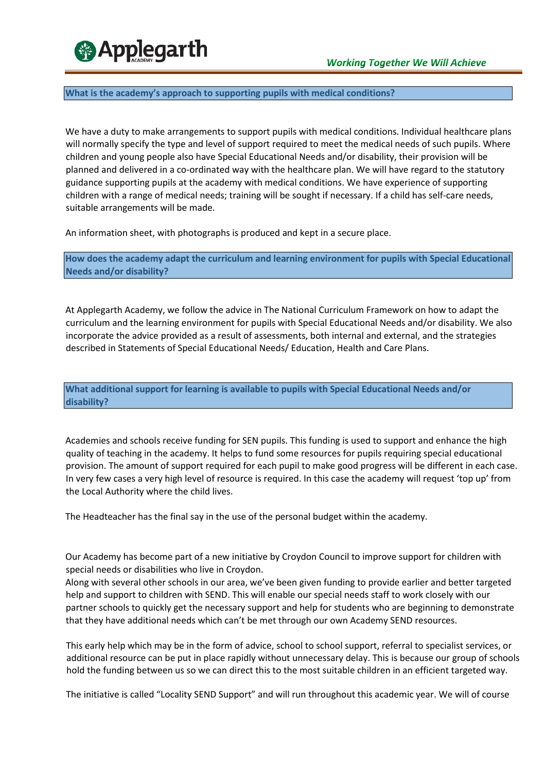

#### **What is the academy's approach to supporting pupils with medical conditions?**

We have a duty to make arrangements to support pupils with medical conditions. Individual healthcare plans will normally specify the type and level of support required to meet the medical needs of such pupils. Where children and young people also have Special Educational Needs and/or disability, their provision will be planned and delivered in a co-ordinated way with the healthcare plan. We will have regard to the statutory guidance supporting pupils at the academy with medical conditions. We have experience of supporting children with a range of medical needs; training will be sought if necessary. If a child has self-care needs, suitable arrangements will be made.

An information sheet, with photographs is produced and kept in a secure place.

**How does the academy adapt the curriculum and learning environment for pupils with Special Educational Needs and/or disability?**

At Applegarth Academy, we follow the advice in The National Curriculum Framework on how to adapt the curriculum and the learning environment for pupils with Special Educational Needs and/or disability. We also incorporate the advice provided as a result of assessments, both internal and external, and the strategies described in Statements of Special Educational Needs/ Education, Health and Care Plans.

**What additional support for learning is available to pupils with Special Educational Needs and/or disability?**

Academies and schools receive funding for SEN pupils. This funding is used to support and enhance the high quality of teaching in the academy. It helps to fund some resources for pupils requiring special educational provision. The amount of support required for each pupil to make good progress will be different in each case. In very few cases a very high level of resource is required. In this case the academy will request 'top up' from the Local Authority where the child lives.

The Headteacher has the final say in the use of the personal budget within the academy.

Our Academy has become part of a new initiative by Croydon Council to improve support for children with special needs or disabilities who live in Croydon.

Along with several other schools in our area, we've been given funding to provide earlier and better targeted help and support to children with SEND. This will enable our special needs staff to work closely with our partner schools to quickly get the necessary support and help for students who are beginning to demonstrate that they have additional needs which can't be met through our own Academy SEND resources.

This early help which may be in the form of advice, school to school support, referral to specialist services, or additional resource can be put in place rapidly without unnecessary delay. This is because our group of schools hold the funding between us so we can direct this to the most suitable children in an efficient targeted way.

The initiative is called "Locality SEND Support" and will run throughout this academic year. We will of course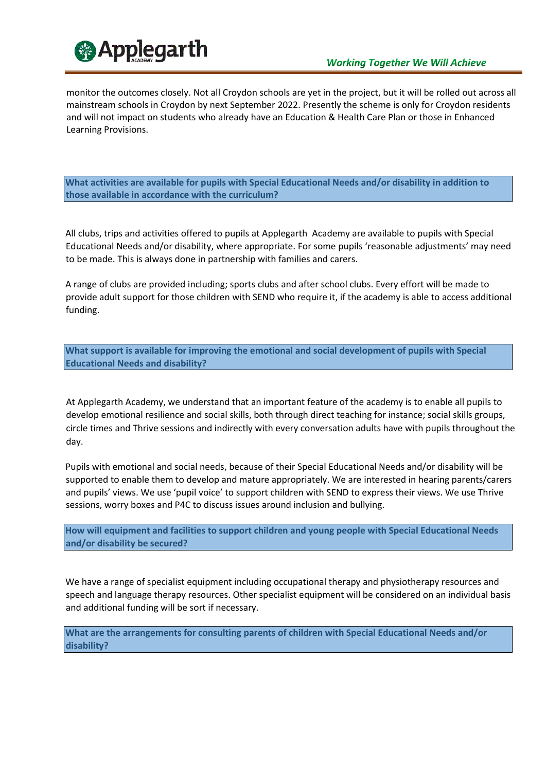

monitor the outcomes closely. Not all Croydon schools are yet in the project, but it will be rolled out across all mainstream schools in Croydon by next September 2022. Presently the scheme is only for Croydon residents and will not impact on students who already have an Education & Health Care Plan or those in Enhanced Learning Provisions.

**What activities are available for pupils with Special Educational Needs and/or disability in addition to those available in accordance with the curriculum?** 

All clubs, trips and activities offered to pupils at Applegarth Academy are available to pupils with Special Educational Needs and/or disability, where appropriate. For some pupils 'reasonable adjustments' may need to be made. This is always done in partnership with families and carers.

A range of clubs are provided including; sports clubs and after school clubs. Every effort will be made to provide adult support for those children with SEND who require it, if the academy is able to access additional funding.

**What support is available for improving the emotional and social development of pupils with Special Educational Needs and disability?** 

At Applegarth Academy, we understand that an important feature of the academy is to enable all pupils to develop emotional resilience and social skills, both through direct teaching for instance; social skills groups, circle times and Thrive sessions and indirectly with every conversation adults have with pupils throughout the day.

Pupils with emotional and social needs, because of their Special Educational Needs and/or disability will be supported to enable them to develop and mature appropriately. We are interested in hearing parents/carers and pupils' views. We use 'pupil voice' to support children with SEND to express their views. We use Thrive sessions, worry boxes and P4C to discuss issues around inclusion and bullying.

**How will equipment and facilities to support children and young people with Special Educational Needs and/or disability be secured?** 

We have a range of specialist equipment including occupational therapy and physiotherapy resources and speech and language therapy resources. Other specialist equipment will be considered on an individual basis and additional funding will be sort if necessary.

**What are the arrangements for consulting parents of children with Special Educational Needs and/or disability?**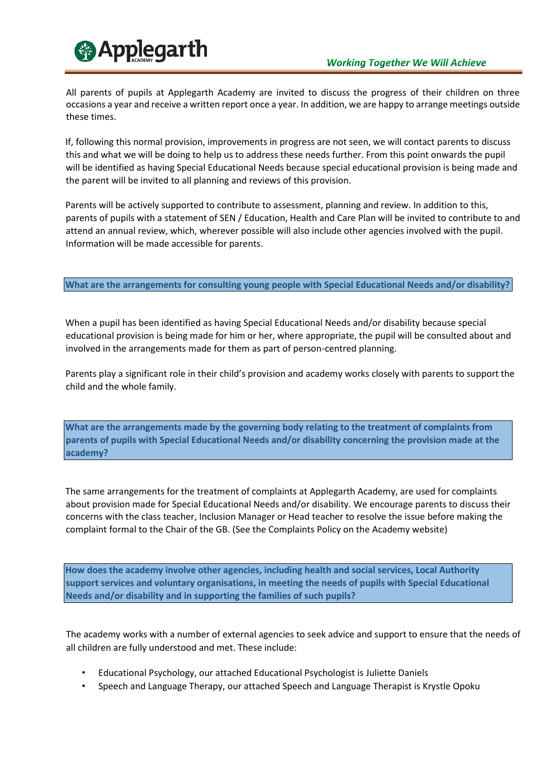

All parents of pupils at Applegarth Academy are invited to discuss the progress of their children on three occasions a year and receive a written report once a year. In addition, we are happy to arrange meetings outside these times.

If, following this normal provision, improvements in progress are not seen, we will contact parents to discuss this and what we will be doing to help us to address these needs further. From this point onwards the pupil will be identified as having Special Educational Needs because special educational provision is being made and the parent will be invited to all planning and reviews of this provision.

Parents will be actively supported to contribute to assessment, planning and review. In addition to this, parents of pupils with a statement of SEN / Education, Health and Care Plan will be invited to contribute to and attend an annual review, which, wherever possible will also include other agencies involved with the pupil. Information will be made accessible for parents.

# **What are the arrangements for consulting young people with Special Educational Needs and/or disability?**

When a pupil has been identified as having Special Educational Needs and/or disability because special educational provision is being made for him or her, where appropriate, the pupil will be consulted about and involved in the arrangements made for them as part of person-centred planning.

Parents play a significant role in their child's provision and academy works closely with parents to support the child and the whole family.

**What are the arrangements made by the governing body relating to the treatment of complaints from parents of pupils with Special Educational Needs and/or disability concerning the provision made at the academy?**

The same arrangements for the treatment of complaints at Applegarth Academy, are used for complaints about provision made for Special Educational Needs and/or disability. We encourage parents to discuss their concerns with the class teacher, Inclusion Manager or Head teacher to resolve the issue before making the complaint formal to the Chair of the GB. (See the Complaints Policy on the Academy website)

**How does the academy involve other agencies, including health and social services, Local Authority support services and voluntary organisations, in meeting the needs of pupils with Special Educational Needs and/or disability and in supporting the families of such pupils?** 

The academy works with a number of external agencies to seek advice and support to ensure that the needs of all children are fully understood and met. These include:

- Educational Psychology, our attached Educational Psychologist is Juliette Daniels
- Speech and Language Therapy, our attached Speech and Language Therapist is Krystle Opoku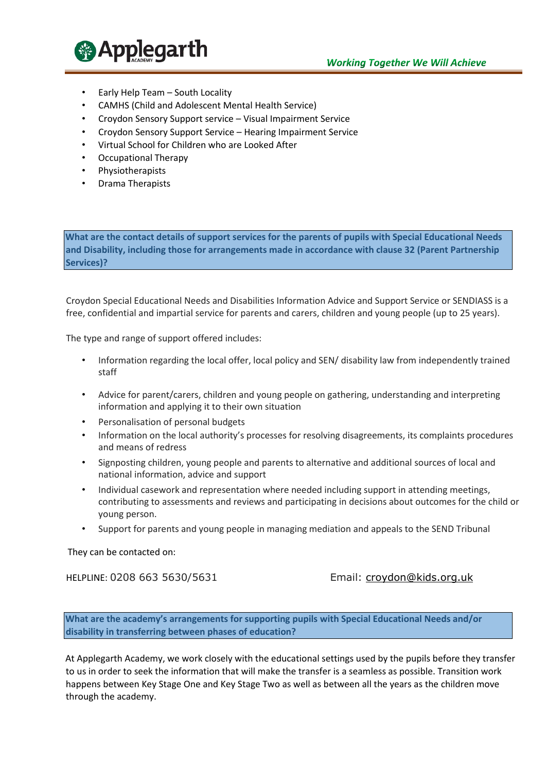

- Early Help Team South Locality
- CAMHS (Child and Adolescent Mental Health Service)
- Croydon Sensory Support service Visual Impairment Service
- Croydon Sensory Support Service Hearing Impairment Service
- Virtual School for Children who are Looked After
- Occupational Therapy
- Physiotherapists
- Drama Therapists

**What are the contact details of support services for the parents of pupils with Special Educational Needs and Disability, including those for arrangements made in accordance with clause 32 (Parent Partnership Services)?**

Croydon Special Educational Needs and Disabilities Information Advice and Support Service or SENDIASS is a free, confidential and impartial service for parents and carers, children and young people (up to 25 years).

The type and range of support offered includes:

- Information regarding the local offer, local policy and SEN/ disability law from independently trained staff
- Advice for parent/carers, children and young people on gathering, understanding and interpreting information and applying it to their own situation
- Personalisation of personal budgets
- Information on the local authority's processes for resolving disagreements, its complaints procedures and means of redress
- Signposting children, young people and parents to alternative and additional sources of local and national information, advice and support
- Individual casework and representation where needed including support in attending meetings, contributing to assessments and reviews and participating in decisions about outcomes for the child or young person.
- Support for parents and young people in managing mediation and appeals to the SEND Tribunal

They can be contacted on:

HELPLINE: 0208 663 5630/5631 Email: croydon@kids.org.uk

**What are the academy's arrangements for supporting pupils with Special Educational Needs and/or disability in transferring between phases of education?**

At Applegarth Academy, we work closely with the educational settings used by the pupils before they transfer to us in order to seek the information that will make the transfer is a seamless as possible. Transition work happens between Key Stage One and Key Stage Two as well as between all the years as the children move through the academy.